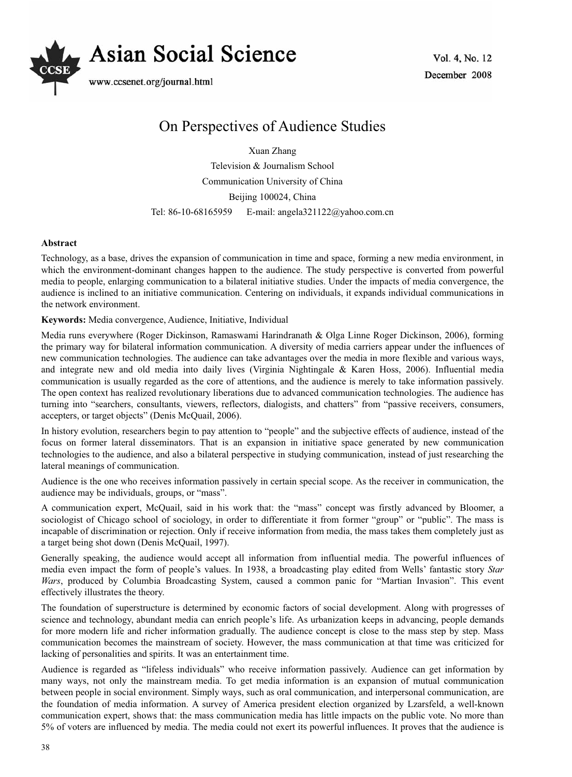

Vol. 4, No. 12 December 2008

## On Perspectives of Audience Studies

Xuan Zhang Television & Journalism School Communication University of China Beijing 100024, China Tel: 86-10-68165959 E-mail: angela321122@yahoo.com.cn

## **Abstract**

Technology, as a base, drives the expansion of communication in time and space, forming a new media environment, in which the environment-dominant changes happen to the audience. The study perspective is converted from powerful media to people, enlarging communication to a bilateral initiative studies. Under the impacts of media convergence, the audience is inclined to an initiative communication. Centering on individuals, it expands individual communications in the network environment.

## **Keywords:** Media convergence, Audience, Initiative, Individual

Media runs everywhere (Roger Dickinson, Ramaswami Harindranath & Olga Linne Roger Dickinson, 2006), forming the primary way for bilateral information communication. A diversity of media carriers appear under the influences of new communication technologies. The audience can take advantages over the media in more flexible and various ways, and integrate new and old media into daily lives (Virginia Nightingale & Karen Hoss, 2006). Influential media communication is usually regarded as the core of attentions, and the audience is merely to take information passively. The open context has realized revolutionary liberations due to advanced communication technologies. The audience has turning into "searchers, consultants, viewers, reflectors, dialogists, and chatters" from "passive receivers, consumers, accepters, or target objects" (Denis McQuail, 2006).

In history evolution, researchers begin to pay attention to "people" and the subjective effects of audience, instead of the focus on former lateral disseminators. That is an expansion in initiative space generated by new communication technologies to the audience, and also a bilateral perspective in studying communication, instead of just researching the lateral meanings of communication.

Audience is the one who receives information passively in certain special scope. As the receiver in communication, the audience may be individuals, groups, or "mass".

A communication expert, McQuail, said in his work that: the "mass" concept was firstly advanced by Bloomer, a sociologist of Chicago school of sociology, in order to differentiate it from former "group" or "public". The mass is incapable of discrimination or rejection. Only if receive information from media, the mass takes them completely just as a target being shot down (Denis McQuail, 1997).

Generally speaking, the audience would accept all information from influential media. The powerful influences of media even impact the form of people's values. In 1938, a broadcasting play edited from Wells' fantastic story *Star Wars*, produced by Columbia Broadcasting System, caused a common panic for "Martian Invasion". This event effectively illustrates the theory.

The foundation of superstructure is determined by economic factors of social development. Along with progresses of science and technology, abundant media can enrich people's life. As urbanization keeps in advancing, people demands for more modern life and richer information gradually. The audience concept is close to the mass step by step. Mass communication becomes the mainstream of society. However, the mass communication at that time was criticized for lacking of personalities and spirits. It was an entertainment time.

Audience is regarded as "lifeless individuals" who receive information passively. Audience can get information by many ways, not only the mainstream media. To get media information is an expansion of mutual communication between people in social environment. Simply ways, such as oral communication, and interpersonal communication, are the foundation of media information. A survey of America president election organized by Lzarsfeld, a well-known communication expert, shows that: the mass communication media has little impacts on the public vote. No more than 5% of voters are influenced by media. The media could not exert its powerful influences. It proves that the audience is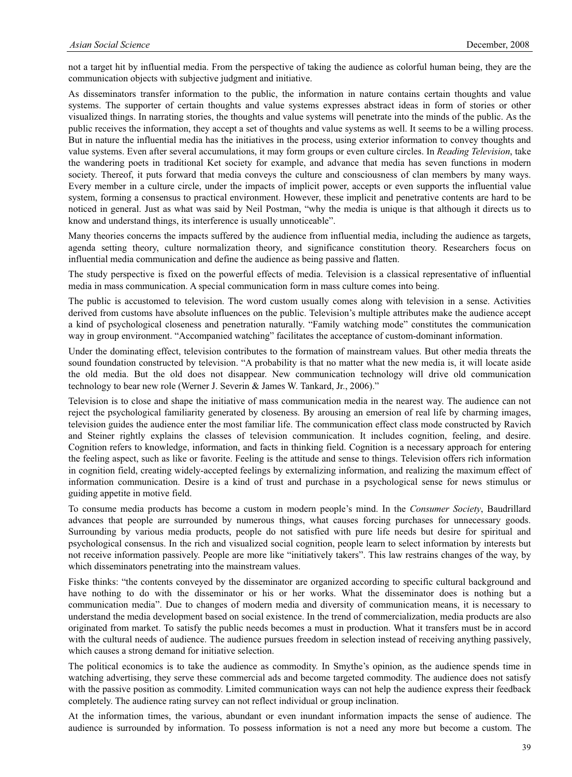not a target hit by influential media. From the perspective of taking the audience as colorful human being, they are the communication objects with subjective judgment and initiative.

As disseminators transfer information to the public, the information in nature contains certain thoughts and value systems. The supporter of certain thoughts and value systems expresses abstract ideas in form of stories or other visualized things. In narrating stories, the thoughts and value systems will penetrate into the minds of the public. As the public receives the information, they accept a set of thoughts and value systems as well. It seems to be a willing process. But in nature the influential media has the initiatives in the process, using exterior information to convey thoughts and value systems. Even after several accumulations, it may form groups or even culture circles. In *Reading Television*, take the wandering poets in traditional Ket society for example, and advance that media has seven functions in modern society. Thereof, it puts forward that media conveys the culture and consciousness of clan members by many ways. Every member in a culture circle, under the impacts of implicit power, accepts or even supports the influential value system, forming a consensus to practical environment. However, these implicit and penetrative contents are hard to be noticed in general. Just as what was said by Neil Postman, "why the media is unique is that although it directs us to know and understand things, its interference is usually unnoticeable".

Many theories concerns the impacts suffered by the audience from influential media, including the audience as targets, agenda setting theory, culture normalization theory, and significance constitution theory. Researchers focus on influential media communication and define the audience as being passive and flatten.

The study perspective is fixed on the powerful effects of media. Television is a classical representative of influential media in mass communication. A special communication form in mass culture comes into being.

The public is accustomed to television. The word custom usually comes along with television in a sense. Activities derived from customs have absolute influences on the public. Television's multiple attributes make the audience accept a kind of psychological closeness and penetration naturally. "Family watching mode" constitutes the communication way in group environment. "Accompanied watching" facilitates the acceptance of custom-dominant information.

Under the dominating effect, television contributes to the formation of mainstream values. But other media threats the sound foundation constructed by television. "A probability is that no matter what the new media is, it will locate aside the old media. But the old does not disappear. New communication technology will drive old communication technology to bear new role (Werner J. Severin & James W. Tankard, Jr., 2006)."

Television is to close and shape the initiative of mass communication media in the nearest way. The audience can not reject the psychological familiarity generated by closeness. By arousing an emersion of real life by charming images, television guides the audience enter the most familiar life. The communication effect class mode constructed by Ravich and Steiner rightly explains the classes of television communication. It includes cognition, feeling, and desire. Cognition refers to knowledge, information, and facts in thinking field. Cognition is a necessary approach for entering the feeling aspect, such as like or favorite. Feeling is the attitude and sense to things. Television offers rich information in cognition field, creating widely-accepted feelings by externalizing information, and realizing the maximum effect of information communication. Desire is a kind of trust and purchase in a psychological sense for news stimulus or guiding appetite in motive field.

To consume media products has become a custom in modern people's mind. In the *Consumer Society*, Baudrillard advances that people are surrounded by numerous things, what causes forcing purchases for unnecessary goods. Surrounding by various media products, people do not satisfied with pure life needs but desire for spiritual and psychological consensus. In the rich and visualized social cognition, people learn to select information by interests but not receive information passively. People are more like "initiatively takers". This law restrains changes of the way, by which disseminators penetrating into the mainstream values.

Fiske thinks: "the contents conveyed by the disseminator are organized according to specific cultural background and have nothing to do with the disseminator or his or her works. What the disseminator does is nothing but a communication media". Due to changes of modern media and diversity of communication means, it is necessary to understand the media development based on social existence. In the trend of commercialization, media products are also originated from market. To satisfy the public needs becomes a must in production. What it transfers must be in accord with the cultural needs of audience. The audience pursues freedom in selection instead of receiving anything passively, which causes a strong demand for initiative selection.

The political economics is to take the audience as commodity. In Smythe's opinion, as the audience spends time in watching advertising, they serve these commercial ads and become targeted commodity. The audience does not satisfy with the passive position as commodity. Limited communication ways can not help the audience express their feedback completely. The audience rating survey can not reflect individual or group inclination.

At the information times, the various, abundant or even inundant information impacts the sense of audience. The audience is surrounded by information. To possess information is not a need any more but become a custom. The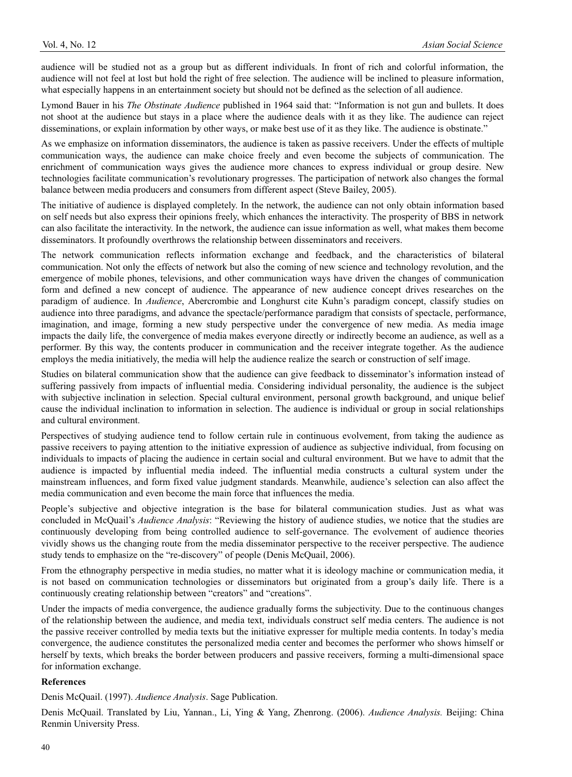audience will be studied not as a group but as different individuals. In front of rich and colorful information, the audience will not feel at lost but hold the right of free selection. The audience will be inclined to pleasure information, what especially happens in an entertainment society but should not be defined as the selection of all audience.

Lymond Bauer in his *The Obstinate Audience* published in 1964 said that: "Information is not gun and bullets. It does not shoot at the audience but stays in a place where the audience deals with it as they like. The audience can reject disseminations, or explain information by other ways, or make best use of it as they like. The audience is obstinate."

As we emphasize on information disseminators, the audience is taken as passive receivers. Under the effects of multiple communication ways, the audience can make choice freely and even become the subjects of communication. The enrichment of communication ways gives the audience more chances to express individual or group desire. New technologies facilitate communication's revolutionary progresses. The participation of network also changes the formal balance between media producers and consumers from different aspect (Steve Bailey, 2005).

The initiative of audience is displayed completely. In the network, the audience can not only obtain information based on self needs but also express their opinions freely, which enhances the interactivity. The prosperity of BBS in network can also facilitate the interactivity. In the network, the audience can issue information as well, what makes them become disseminators. It profoundly overthrows the relationship between disseminators and receivers.

The network communication reflects information exchange and feedback, and the characteristics of bilateral communication. Not only the effects of network but also the coming of new science and technology revolution, and the emergence of mobile phones, televisions, and other communication ways have driven the changes of communication form and defined a new concept of audience. The appearance of new audience concept drives researches on the paradigm of audience. In *Audience*, Abercrombie and Longhurst cite Kuhn's paradigm concept, classify studies on audience into three paradigms, and advance the spectacle/performance paradigm that consists of spectacle, performance, imagination, and image, forming a new study perspective under the convergence of new media. As media image impacts the daily life, the convergence of media makes everyone directly or indirectly become an audience, as well as a performer. By this way, the contents producer in communication and the receiver integrate together. As the audience employs the media initiatively, the media will help the audience realize the search or construction of self image.

Studies on bilateral communication show that the audience can give feedback to disseminator's information instead of suffering passively from impacts of influential media. Considering individual personality, the audience is the subject with subjective inclination in selection. Special cultural environment, personal growth background, and unique belief cause the individual inclination to information in selection. The audience is individual or group in social relationships and cultural environment.

Perspectives of studying audience tend to follow certain rule in continuous evolvement, from taking the audience as passive receivers to paying attention to the initiative expression of audience as subjective individual, from focusing on individuals to impacts of placing the audience in certain social and cultural environment. But we have to admit that the audience is impacted by influential media indeed. The influential media constructs a cultural system under the mainstream influences, and form fixed value judgment standards. Meanwhile, audience's selection can also affect the media communication and even become the main force that influences the media.

People's subjective and objective integration is the base for bilateral communication studies. Just as what was concluded in McQuail's *Audience Analysis*: "Reviewing the history of audience studies, we notice that the studies are continuously developing from being controlled audience to self-governance. The evolvement of audience theories vividly shows us the changing route from the media disseminator perspective to the receiver perspective. The audience study tends to emphasize on the "re-discovery" of people (Denis McQuail, 2006).

From the ethnography perspective in media studies, no matter what it is ideology machine or communication media, it is not based on communication technologies or disseminators but originated from a group's daily life. There is a continuously creating relationship between "creators" and "creations".

Under the impacts of media convergence, the audience gradually forms the subjectivity. Due to the continuous changes of the relationship between the audience, and media text, individuals construct self media centers. The audience is not the passive receiver controlled by media texts but the initiative expresser for multiple media contents. In today's media convergence, the audience constitutes the personalized media center and becomes the performer who shows himself or herself by texts, which breaks the border between producers and passive receivers, forming a multi-dimensional space for information exchange.

## **References**

Denis McQuail. (1997). *Audience Analysis*. Sage Publication.

Denis McQuail. Translated by Liu, Yannan., Li, Ying & Yang, Zhenrong. (2006). *Audience Analysis.* Beijing: China Renmin University Press.